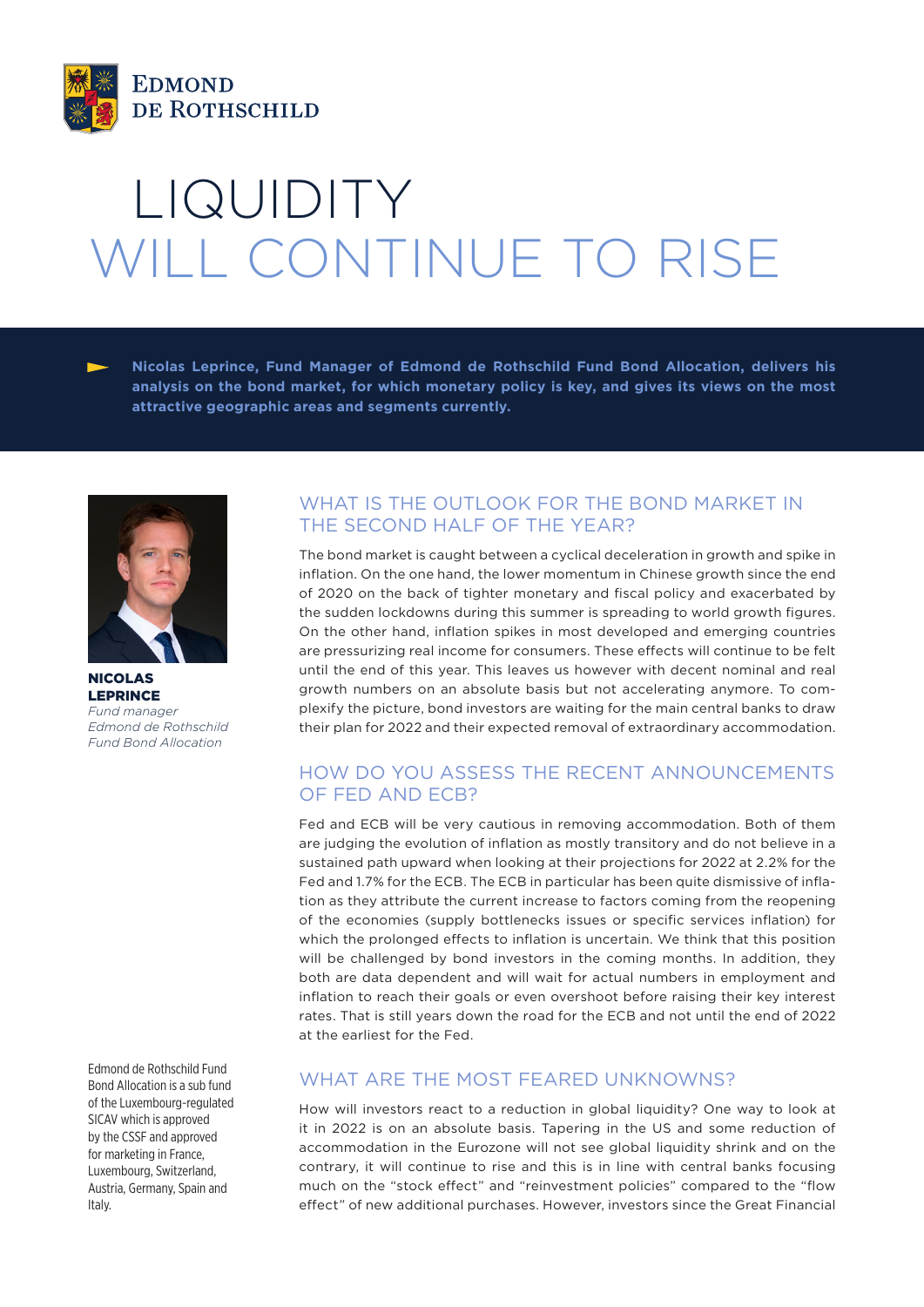

# LIQUIDITY WILL CONTINUE TO RISE

**Nicolas Leprince, Fund Manager of Edmond de Rothschild Fund Bond Allocation, delivers his analysis on the bond market, for which monetary policy is key, and gives its views on the most attractive geographic areas and segments currently.** 



NICOLAS LEPRINCE *Fund manager Edmond de Rothschild Fund Bond Allocation*

Edmond de Rothschild Fund Bond Allocation is a sub fund of the Luxembourg-regulated SICAV which is approved by the CSSF and approved for marketing in France, Luxembourg, Switzerland, Austria, Germany, Spain and Italy.

## WHAT IS THE OUTLOOK FOR THE BOND MARKET IN THE SECOND HALF OF THE YEAR?

The bond market is caught between a cyclical deceleration in growth and spike in inflation. On the one hand, the lower momentum in Chinese growth since the end of 2020 on the back of tighter monetary and fiscal policy and exacerbated by the sudden lockdowns during this summer is spreading to world growth figures. On the other hand, inflation spikes in most developed and emerging countries are pressurizing real income for consumers. These effects will continue to be felt until the end of this year. This leaves us however with decent nominal and real growth numbers on an absolute basis but not accelerating anymore. To complexify the picture, bond investors are waiting for the main central banks to draw their plan for 2022 and their expected removal of extraordinary accommodation.

## HOW DO YOU ASSESS THE RECENT ANNOUNCEMENTS OF FED AND ECB?

Fed and ECB will be very cautious in removing accommodation. Both of them are judging the evolution of inflation as mostly transitory and do not believe in a sustained path upward when looking at their projections for 2022 at 2.2% for the Fed and 1.7% for the ECB. The ECB in particular has been quite dismissive of inflation as they attribute the current increase to factors coming from the reopening of the economies (supply bottlenecks issues or specific services inflation) for which the prolonged effects to inflation is uncertain. We think that this position will be challenged by bond investors in the coming months. In addition, they both are data dependent and will wait for actual numbers in employment and inflation to reach their goals or even overshoot before raising their key interest rates. That is still years down the road for the ECB and not until the end of 2022 at the earliest for the Fed.

## WHAT ARE THE MOST FEARED UNKNOWNS?

How will investors react to a reduction in global liquidity? One way to look at it in 2022 is on an absolute basis. Tapering in the US and some reduction of accommodation in the Eurozone will not see global liquidity shrink and on the contrary, it will continue to rise and this is in line with central banks focusing much on the "stock effect" and "reinvestment policies" compared to the "flow effect" of new additional purchases. However, investors since the Great Financial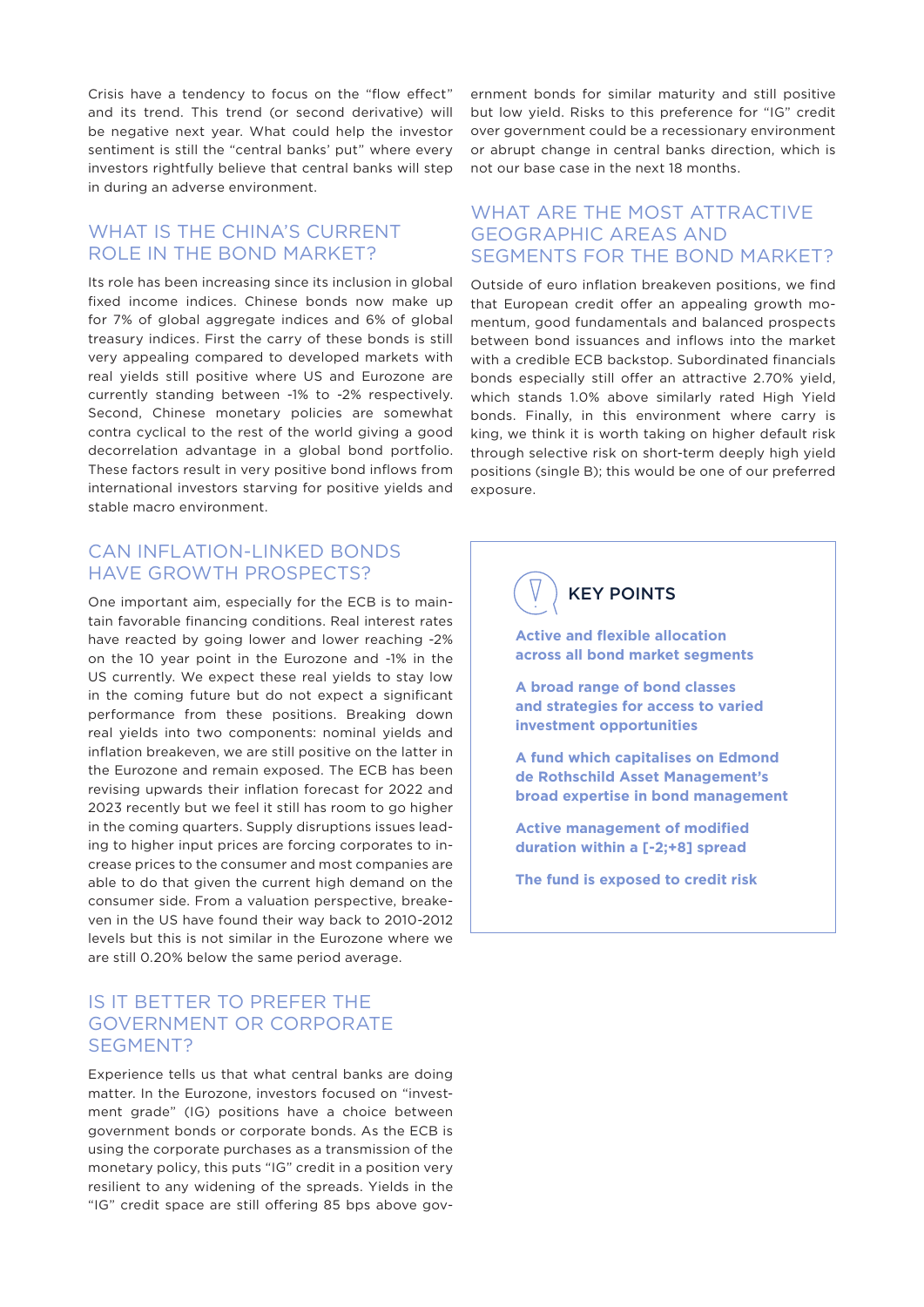Crisis have a tendency to focus on the "flow effect" and its trend. This trend (or second derivative) will be negative next year. What could help the investor sentiment is still the "central banks' put" where every investors rightfully believe that central banks will step in during an adverse environment.

#### WHAT IS THE CHINA'S CURRENT ROLE IN THE BOND MARKET?

Its role has been increasing since its inclusion in global fixed income indices. Chinese bonds now make up for 7% of global aggregate indices and 6% of global treasury indices. First the carry of these bonds is still very appealing compared to developed markets with real yields still positive where US and Eurozone are currently standing between -1% to -2% respectively. Second, Chinese monetary policies are somewhat contra cyclical to the rest of the world giving a good decorrelation advantage in a global bond portfolio. These factors result in very positive bond inflows from international investors starving for positive yields and stable macro environment.

## CAN INFLATION-LINKED BONDS HAVE GROWTH PROSPECTS?

One important aim, especially for the ECB is to maintain favorable financing conditions. Real interest rates have reacted by going lower and lower reaching -2% on the 10 year point in the Eurozone and -1% in the US currently. We expect these real yields to stay low in the coming future but do not expect a significant performance from these positions. Breaking down real yields into two components: nominal yields and inflation breakeven, we are still positive on the latter in the Eurozone and remain exposed. The ECB has been revising upwards their inflation forecast for 2022 and 2023 recently but we feel it still has room to go higher in the coming quarters. Supply disruptions issues leading to higher input prices are forcing corporates to increase prices to the consumer and most companies are able to do that given the current high demand on the consumer side. From a valuation perspective, breakeven in the US have found their way back to 2010-2012 levels but this is not similar in the Eurozone where we are still 0.20% below the same period average.

#### IS IT BETTER TO PREFER THE GOVERNMENT OR CORPORATE SEGMENT?

Experience tells us that what central banks are doing matter. In the Eurozone, investors focused on "investment grade" (IG) positions have a choice between government bonds or corporate bonds. As the ECB is using the corporate purchases as a transmission of the monetary policy, this puts "IG" credit in a position very resilient to any widening of the spreads. Yields in the "IG" credit space are still offering 85 bps above gov-

ernment bonds for similar maturity and still positive but low yield. Risks to this preference for "IG" credit over government could be a recessionary environment or abrupt change in central banks direction, which is not our base case in the next 18 months.

## WHAT ARE THE MOST ATTRACTIVE GEOGRAPHIC AREAS AND SEGMENTS FOR THE BOND MARKET?

Outside of euro inflation breakeven positions, we find that European credit offer an appealing growth momentum, good fundamentals and balanced prospects between bond issuances and inflows into the market with a credible ECB backstop. Subordinated financials bonds especially still offer an attractive 2.70% yield, which stands 1.0% above similarly rated High Yield bonds. Finally, in this environment where carry is king, we think it is worth taking on higher default risk through selective risk on short-term deeply high yield positions (single B); this would be one of our preferred exposure.